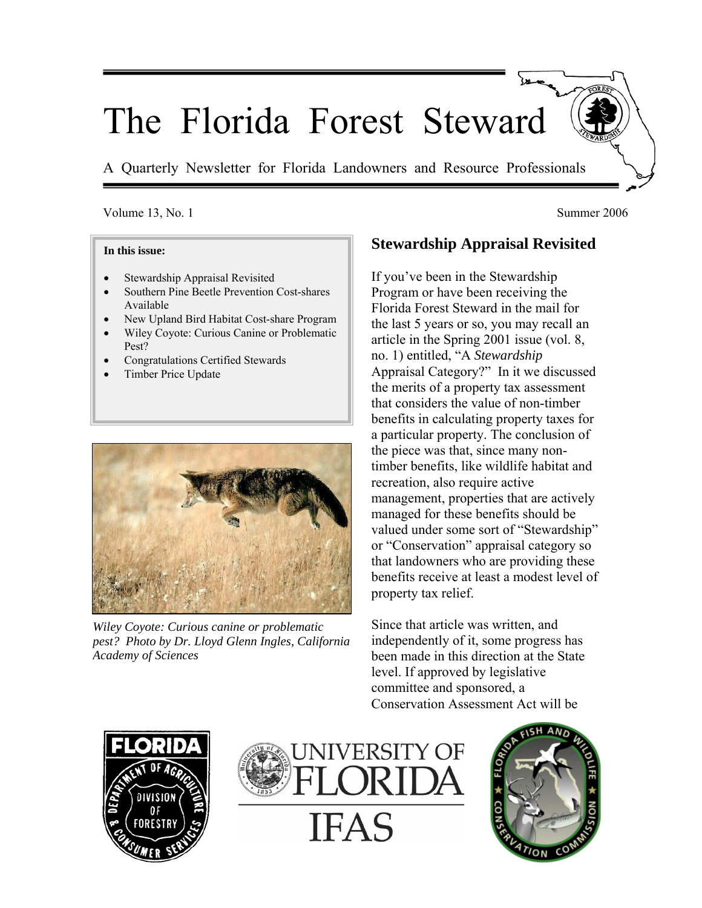# The Florida Forest Steward

A Quarterly Newsletter for Florida Landowners and Resource Professionals

#### Volume 13, No. 1 Summer 2006

#### **In this issue:**

- Stewardship Appraisal Revisited
- Southern Pine Beetle Prevention Cost-shares Available
- New Upland Bird Habitat Cost-share Program
- Wiley Coyote: Curious Canine or Problematic Pest?
- Congratulations Certified Stewards
- Timber Price Update



*Wiley Coyote: Curious canine or problematic pest? Photo by Dr. Lloyd Glenn Ingles, California Academy of Sciences*

# **Stewardship Appraisal Revisited**

If you've been in the Stewardship Program or have been receiving the Florida Forest Steward in the mail for the last 5 years or so, you may recall an article in the Spring 2001 issue (vol. 8, no. 1) entitled, "A *Stewardship* Appraisal Category?" In it we discussed the merits of a property tax assessment that considers the value of non-timber benefits in calculating property taxes for a particular property. The conclusion of the piece was that, since many nontimber benefits, like wildlife habitat and recreation, also require active management, properties that are actively managed for these benefits should be valued under some sort of "Stewardship" or "Conservation" appraisal category so that landowners who are providing these benefits receive at least a modest level of property tax relief.

Since that article was written, and independently of it, some progress has been made in this direction at the State level. If approved by legislative committee and sponsored, a Conservation Assessment Act will be





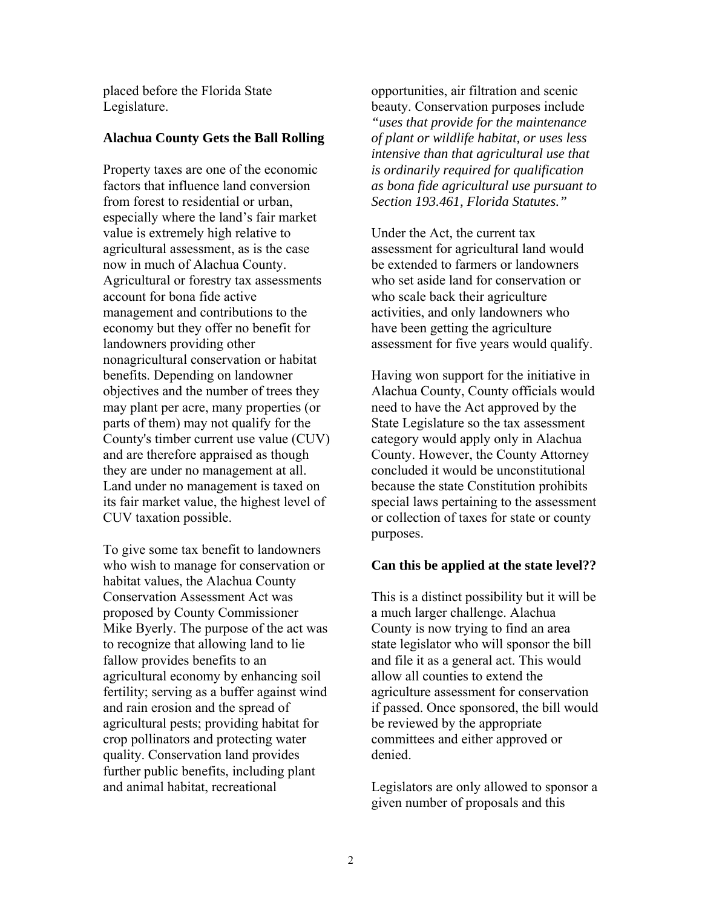placed before the Florida State Legislature.

#### **Alachua County Gets the Ball Rolling**

Property taxes are one of the economic factors that influence land conversion from forest to residential or urban, especially where the land's fair market value is extremely high relative to agricultural assessment, as is the case now in much of Alachua County. Agricultural or forestry tax assessments account for bona fide active management and contributions to the economy but they offer no benefit for landowners providing other nonagricultural conservation or habitat benefits. Depending on landowner objectives and the number of trees they may plant per acre, many properties (or parts of them) may not qualify for the County's timber current use value (CUV) and are therefore appraised as though they are under no management at all. Land under no management is taxed on its fair market value, the highest level of CUV taxation possible.

To give some tax benefit to landowners who wish to manage for conservation or habitat values, the Alachua County Conservation Assessment Act was proposed by County Commissioner Mike Byerly. The purpose of the act was to recognize that allowing land to lie fallow provides benefits to an agricultural economy by enhancing soil fertility; serving as a buffer against wind and rain erosion and the spread of agricultural pests; providing habitat for crop pollinators and protecting water quality. Conservation land provides further public benefits, including plant and animal habitat, recreational

opportunities, air filtration and scenic beauty. Conservation purposes include *"uses that provide for the maintenance of plant or wildlife habitat, or uses less intensive than that agricultural use that is ordinarily required for qualification as bona fide agricultural use pursuant to Section 193.461, Florida Statutes."* 

Under the Act, the current tax assessment for agricultural land would be extended to farmers or landowners who set aside land for conservation or who scale back their agriculture activities, and only landowners who have been getting the agriculture assessment for five years would qualify.

Having won support for the initiative in Alachua County, County officials would need to have the Act approved by the State Legislature so the tax assessment category would apply only in Alachua County. However, the County Attorney concluded it would be unconstitutional because the state Constitution prohibits special laws pertaining to the assessment or collection of taxes for state or county purposes.

#### **Can this be applied at the state level??**

This is a distinct possibility but it will be a much larger challenge. Alachua County is now trying to find an area state legislator who will sponsor the bill and file it as a general act. This would allow all counties to extend the agriculture assessment for conservation if passed. Once sponsored, the bill would be reviewed by the appropriate committees and either approved or denied.

Legislators are only allowed to sponsor a given number of proposals and this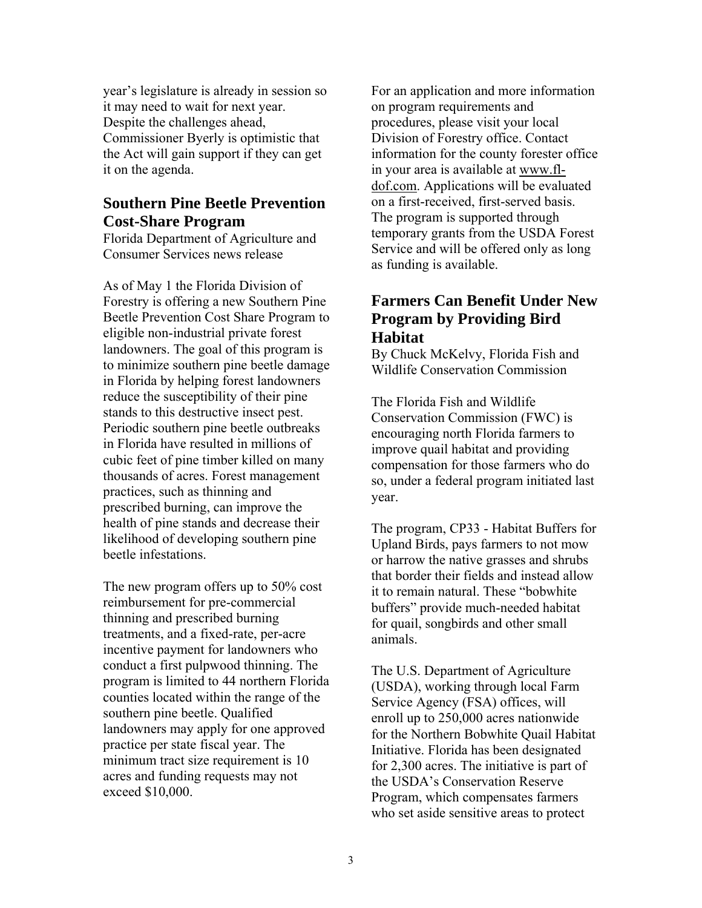year's legislature is already in session so it may need to wait for next year. Despite the challenges ahead, Commissioner Byerly is optimistic that the Act will gain support if they can get it on the agenda.

### **Southern Pine Beetle Prevention Cost-Share Program**

Florida Department of Agriculture and Consumer Services news release

As of May 1 the Florida Division of Forestry is offering a new Southern Pine Beetle Prevention Cost Share Program to eligible non-industrial private forest landowners. The goal of this program is to minimize southern pine beetle damage in Florida by helping forest landowners reduce the susceptibility of their pine stands to this destructive insect pest. Periodic southern pine beetle outbreaks in Florida have resulted in millions of cubic feet of pine timber killed on many thousands of acres. Forest management practices, such as thinning and prescribed burning, can improve the health of pine stands and decrease their likelihood of developing southern pine beetle infestations.

The new program offers up to 50% cost reimbursement for pre-commercial thinning and prescribed burning treatments, and a fixed-rate, per-acre incentive payment for landowners who conduct a first pulpwood thinning. The program is limited to 44 northern Florida counties located within the range of the southern pine beetle. Qualified landowners may apply for one approved practice per state fiscal year. The minimum tract size requirement is 10 acres and funding requests may not exceed \$10,000.

For an application and more information on program requirements and procedures, please visit your local Division of Forestry office. Contact information for the county forester office in your area is available at www.fldof.com. Applications will be evaluated on a first-received, first-served basis. The program is supported through temporary grants from the USDA Forest Service and will be offered only as long as funding is available.

## **Farmers Can Benefit Under New Program by Providing Bird Habitat**

By Chuck McKelvy, Florida Fish and Wildlife Conservation Commission

The Florida Fish and Wildlife Conservation Commission (FWC) is encouraging north Florida farmers to improve quail habitat and providing compensation for those farmers who do so, under a federal program initiated last year.

The program, CP33 - Habitat Buffers for Upland Birds, pays farmers to not mow or harrow the native grasses and shrubs that border their fields and instead allow it to remain natural. These "bobwhite buffers" provide much-needed habitat for quail, songbirds and other small animals.

The U.S. Department of Agriculture (USDA), working through local Farm Service Agency (FSA) offices, will enroll up to 250,000 acres nationwide for the Northern Bobwhite Quail Habitat Initiative. Florida has been designated for 2,300 acres. The initiative is part of the USDA's Conservation Reserve Program, which compensates farmers who set aside sensitive areas to protect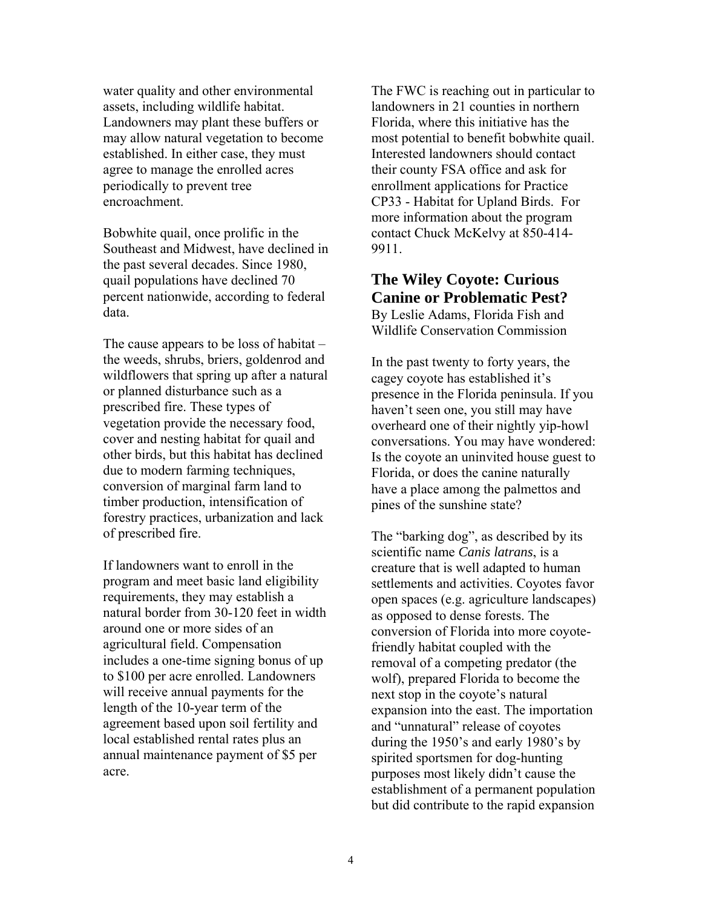water quality and other environmental assets, including wildlife habitat. Landowners may plant these buffers or may allow natural vegetation to become established. In either case, they must agree to manage the enrolled acres periodically to prevent tree encroachment.

Bobwhite quail, once prolific in the Southeast and Midwest, have declined in the past several decades. Since 1980, quail populations have declined 70 percent nationwide, according to federal data.

The cause appears to be loss of habitat – the weeds, shrubs, briers, goldenrod and wildflowers that spring up after a natural or planned disturbance such as a prescribed fire. These types of vegetation provide the necessary food, cover and nesting habitat for quail and other birds, but this habitat has declined due to modern farming techniques, conversion of marginal farm land to timber production, intensification of forestry practices, urbanization and lack of prescribed fire.

If landowners want to enroll in the program and meet basic land eligibility requirements, they may establish a natural border from 30-120 feet in width around one or more sides of an agricultural field. Compensation includes a one-time signing bonus of up to \$100 per acre enrolled. Landowners will receive annual payments for the length of the 10-year term of the agreement based upon soil fertility and local established rental rates plus an annual maintenance payment of \$5 per acre.

The FWC is reaching out in particular to landowners in 21 counties in northern Florida, where this initiative has the most potential to benefit bobwhite quail. Interested landowners should contact their county FSA office and ask for enrollment applications for Practice CP33 - Habitat for Upland Birds. For more information about the program contact Chuck McKelvy at 850-414- 9911.

# **The Wiley Coyote: Curious Canine or Problematic Pest?**

By Leslie Adams, Florida Fish and Wildlife Conservation Commission

In the past twenty to forty years, the cagey coyote has established it's presence in the Florida peninsula. If you haven't seen one, you still may have overheard one of their nightly yip-howl conversations. You may have wondered: Is the coyote an uninvited house guest to Florida, or does the canine naturally have a place among the palmettos and pines of the sunshine state?

The "barking dog", as described by its scientific name *Canis latrans*, is a creature that is well adapted to human settlements and activities. Coyotes favor open spaces (e.g. agriculture landscapes) as opposed to dense forests. The conversion of Florida into more coyotefriendly habitat coupled with the removal of a competing predator (the wolf), prepared Florida to become the next stop in the coyote's natural expansion into the east. The importation and "unnatural" release of coyotes during the 1950's and early 1980's by spirited sportsmen for dog-hunting purposes most likely didn't cause the establishment of a permanent population but did contribute to the rapid expansion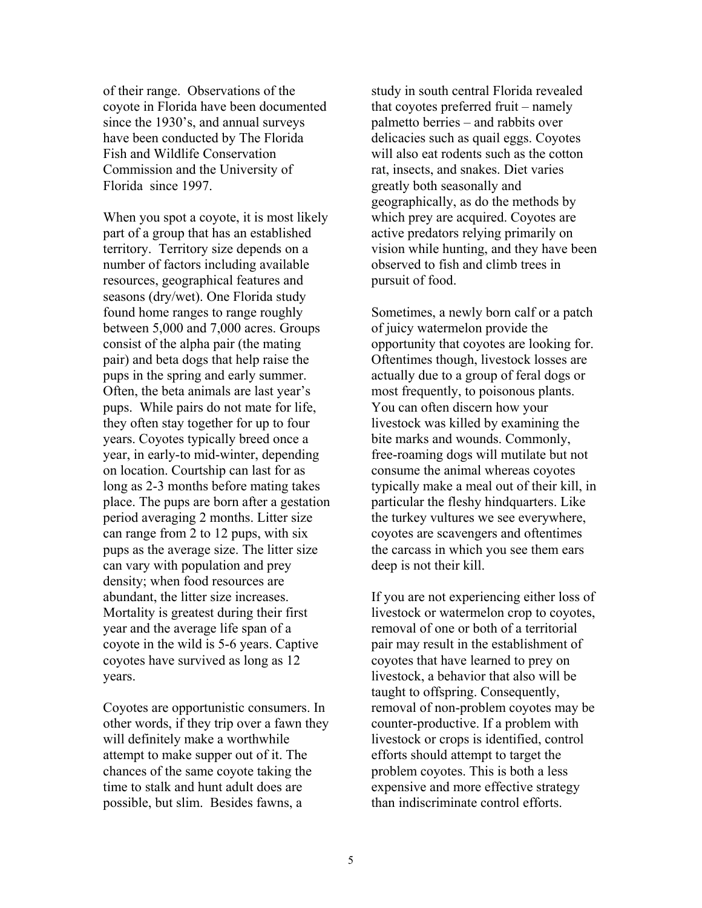of their range. Observations of the coyote in Florida have been documented since the 1930's, and annual surveys have been conducted by The Florida Fish and Wildlife Conservation Commission and the University of Florida since 1997.

When you spot a coyote, it is most likely part of a group that has an established territory. Territory size depends on a number of factors including available resources, geographical features and seasons (dry/wet). One Florida study found home ranges to range roughly between 5,000 and 7,000 acres. Groups consist of the alpha pair (the mating pair) and beta dogs that help raise the pups in the spring and early summer. Often, the beta animals are last year's pups. While pairs do not mate for life, they often stay together for up to four years. Coyotes typically breed once a year, in early-to mid-winter, depending on location. Courtship can last for as long as 2-3 months before mating takes place. The pups are born after a gestation period averaging 2 months. Litter size can range from 2 to 12 pups, with six pups as the average size. The litter size can vary with population and prey density; when food resources are abundant, the litter size increases. Mortality is greatest during their first year and the average life span of a coyote in the wild is 5-6 years. Captive coyotes have survived as long as 12 years.

Coyotes are opportunistic consumers. In other words, if they trip over a fawn they will definitely make a worthwhile attempt to make supper out of it. The chances of the same coyote taking the time to stalk and hunt adult does are possible, but slim. Besides fawns, a

study in south central Florida revealed that coyotes preferred fruit – namely palmetto berries – and rabbits over delicacies such as quail eggs. Coyotes will also eat rodents such as the cotton rat, insects, and snakes. Diet varies greatly both seasonally and geographically, as do the methods by which prey are acquired. Coyotes are active predators relying primarily on vision while hunting, and they have been observed to fish and climb trees in pursuit of food.

Sometimes, a newly born calf or a patch of juicy watermelon provide the opportunity that coyotes are looking for. Oftentimes though, livestock losses are actually due to a group of feral dogs or most frequently, to poisonous plants. You can often discern how your livestock was killed by examining the bite marks and wounds. Commonly, free-roaming dogs will mutilate but not consume the animal whereas coyotes typically make a meal out of their kill, in particular the fleshy hindquarters. Like the turkey vultures we see everywhere, coyotes are scavengers and oftentimes the carcass in which you see them ears deep is not their kill.

If you are not experiencing either loss of livestock or watermelon crop to coyotes, removal of one or both of a territorial pair may result in the establishment of coyotes that have learned to prey on livestock, a behavior that also will be taught to offspring. Consequently, removal of non-problem coyotes may be counter-productive. If a problem with livestock or crops is identified, control efforts should attempt to target the problem coyotes. This is both a less expensive and more effective strategy than indiscriminate control efforts.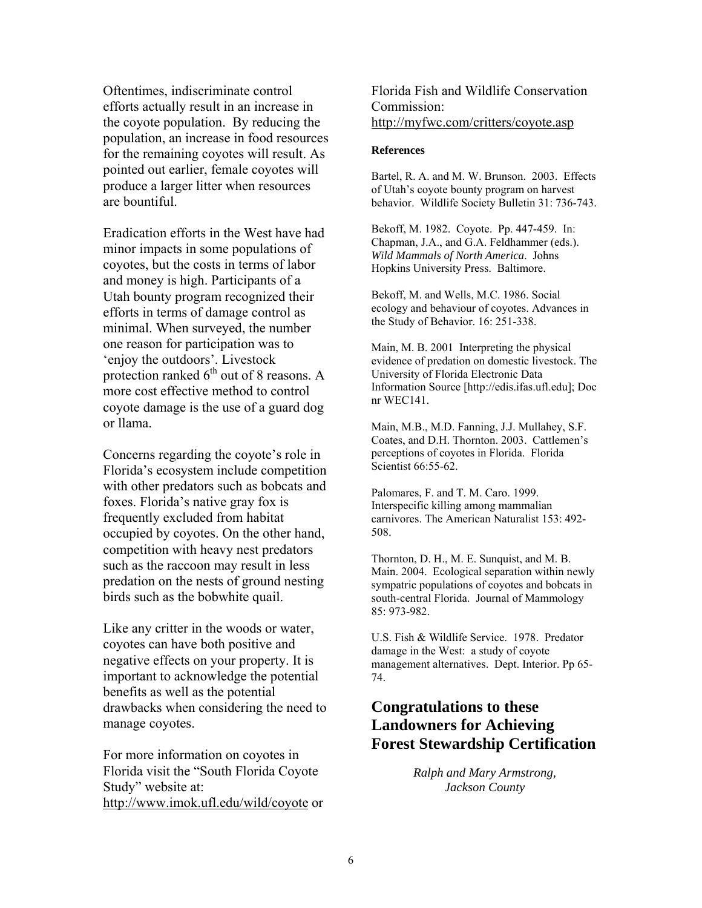Oftentimes, indiscriminate control efforts actually result in an increase in the coyote population. By reducing the population, an increase in food resources for the remaining coyotes will result. As pointed out earlier, female coyotes will produce a larger litter when resources are bountiful.

Eradication efforts in the West have had minor impacts in some populations of coyotes, but the costs in terms of labor and money is high. Participants of a Utah bounty program recognized their efforts in terms of damage control as minimal. When surveyed, the number one reason for participation was to 'enjoy the outdoors'. Livestock protection ranked  $6<sup>th</sup>$  out of 8 reasons. A more cost effective method to control coyote damage is the use of a guard dog or llama.

Concerns regarding the coyote's role in Florida's ecosystem include competition with other predators such as bobcats and foxes. Florida's native gray fox is frequently excluded from habitat occupied by coyotes. On the other hand, competition with heavy nest predators such as the raccoon may result in less predation on the nests of ground nesting birds such as the bobwhite quail.

Like any critter in the woods or water, coyotes can have both positive and negative effects on your property. It is important to acknowledge the potential benefits as well as the potential drawbacks when considering the need to manage coyotes.

For more information on coyotes in Florida visit the "South Florida Coyote Study" website at: http://www.imok.ufl.edu/wild/coyote or Florida Fish and Wildlife Conservation Commission: http://myfwc.com/critters/coyote.asp

#### **References**

Bartel, R. A. and M. W. Brunson. 2003. Effects of Utah's coyote bounty program on harvest behavior. Wildlife Society Bulletin 31: 736-743.

Bekoff, M. 1982. Coyote. Pp. 447-459. In: Chapman, J.A., and G.A. Feldhammer (eds.). *Wild Mammals of North America*. Johns Hopkins University Press. Baltimore.

Bekoff, M. and Wells, M.C. 1986. Social ecology and behaviour of coyotes. Advances in the Study of Behavior. 16: 251-338.

Main, M. B. 2001 Interpreting the physical evidence of predation on domestic livestock. The University of Florida Electronic Data Information Source [http://edis.ifas.ufl.edu]; Doc nr WEC141.

Main, M.B., M.D. Fanning, J.J. Mullahey, S.F. Coates, and D.H. Thornton. 2003. Cattlemen's perceptions of coyotes in Florida. Florida Scientist **66:55-62**.

Palomares, F. and T. M. Caro. 1999. Interspecific killing among mammalian carnivores. The American Naturalist 153: 492- 508.

Thornton, D. H., M. E. Sunquist, and M. B. Main. 2004. Ecological separation within newly sympatric populations of coyotes and bobcats in south-central Florida. Journal of Mammology 85: 973-982.

U.S. Fish & Wildlife Service. 1978. Predator damage in the West: a study of coyote management alternatives. Dept. Interior. Pp 65- 74.

# **Congratulations to these Landowners for Achieving Forest Stewardship Certification**

*Ralph and Mary Armstrong, Jackson County*